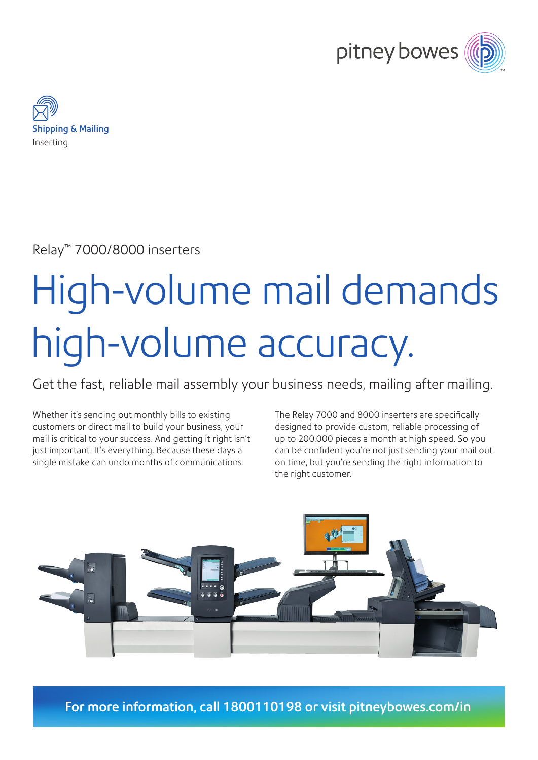



Relay™ 7000/8000 inserters

# High-volume mail demands high-volume accuracy.

Get the fast, reliable mail assembly your business needs, mailing after mailing.

Whether it's sending out monthly bills to existing customers or direct mail to build your business, your mail is critical to your success. And getting it right isn't just important. It's everything. Because these days a single mistake can undo months of communications.

The Relay 7000 and 8000 inserters are specifically designed to provide custom, reliable processing of up to 200,000 pieces a month at high speed. So you can be confident you're not just sending your mail out on time, but you're sending the right information to the right customer.



For more information, call 1800110198 or visit [pitneybowes.com/in](http://pitneybowes.com/in)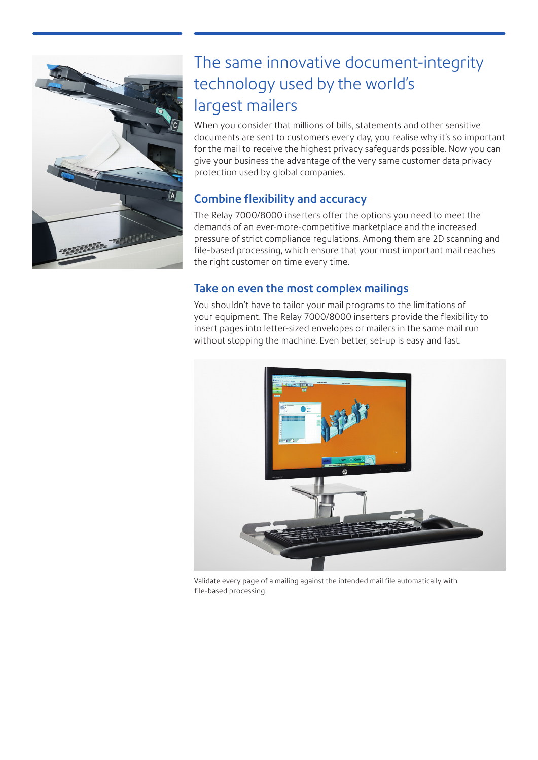

## The same innovative document-integrity technology used by the world's largest mailers

When you consider that millions of bills, statements and other sensitive documents are sent to customers every day, you realise why it's so important for the mail to receive the highest privacy safeguards possible. Now you can give your business the advantage of the very same customer data privacy protection used by global companies.

### Combine flexibility and accuracy

The Relay 7000/8000 inserters offer the options you need to meet the demands of an ever-more-competitive marketplace and the increased pressure of strict compliance regulations. Among them are 2D scanning and file-based processing, which ensure that your most important mail reaches the right customer on time every time.

#### Take on even the most complex mailings

You shouldn't have to tailor your mail programs to the limitations of your equipment. The Relay 7000/8000 inserters provide the flexibility to insert pages into letter-sized envelopes or mailers in the same mail run without stopping the machine. Even better, set-up is easy and fast.



Validate every page of a mailing against the intended mail file automatically with file-based processing.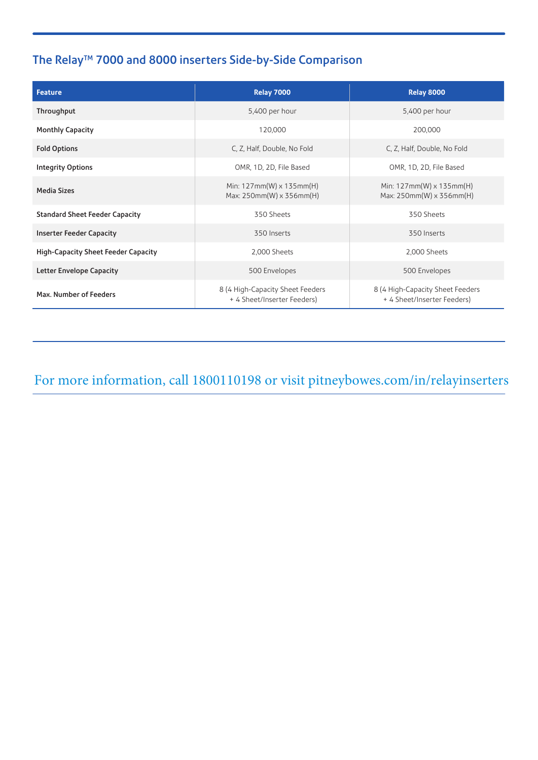## The Relay<sup>™</sup> 7000 and 8000 inserters Side-by-Side Comparison

| <b>Feature</b>                             | <b>Relay 7000</b>                                               | <b>Relay 8000</b>                                               |
|--------------------------------------------|-----------------------------------------------------------------|-----------------------------------------------------------------|
| Throughput                                 | 5,400 per hour                                                  | 5,400 per hour                                                  |
| <b>Monthly Capacity</b>                    | 120,000                                                         | 200,000                                                         |
| <b>Fold Options</b>                        | C. Z. Half, Double, No Fold                                     | C, Z, Half, Double, No Fold                                     |
| <b>Integrity Options</b>                   | OMR, 1D, 2D, File Based                                         | OMR, 1D, 2D, File Based                                         |
| <b>Media Sizes</b>                         | Min: $127mm(W) \times 135mm(H)$<br>Max: 250mm(W) x 356mm(H)     | Min: $127mm(W) \times 135mm(H)$<br>Max: 250mm(W) x 356mm(H)     |
| <b>Standard Sheet Feeder Capacity</b>      | 350 Sheets                                                      | 350 Sheets                                                      |
| <b>Inserter Feeder Capacity</b>            | 350 Inserts                                                     | 350 Inserts                                                     |
| <b>High-Capacity Sheet Feeder Capacity</b> | 2,000 Sheets                                                    | 2,000 Sheets                                                    |
| <b>Letter Envelope Capacity</b>            | 500 Envelopes                                                   | 500 Envelopes                                                   |
| Max. Number of Feeders                     | 8 (4 High-Capacity Sheet Feeders<br>+ 4 Sheet/Inserter Feeders) | 8 (4 High-Capacity Sheet Feeders<br>+ 4 Sheet/Inserter Feeders) |

For more information, call 1800110198 or visit pitney[bowes.com/in/relayinse](http://pitneybowes.com/in)rters